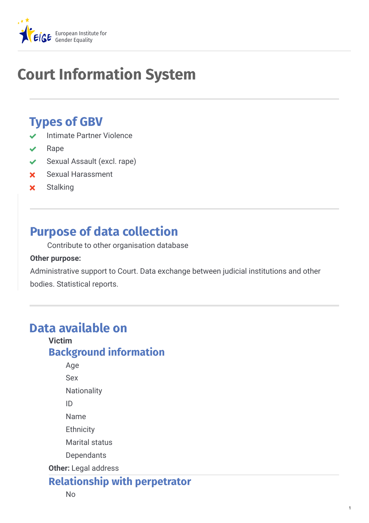

# **Court Information System**

## **Types of GBV**

- Intimate Partner Violence
- Rape
- ◆ Sexual Assault (excl. rape)
- Sexual Harassment
- **x** Stalking

## **Purpose of data collection**

Contribute to other organisation database

#### **Other purpose:**

Administrative support to Court. Data exchange between judicial institutions and other bodies. Statistical reports.

## **Data available on**

#### **Victim Background information**

**Other:** Legal address Age Sex **Nationality** ID Name **Ethnicity** Marital status **Dependants** 

## **Relationship with perpetrator**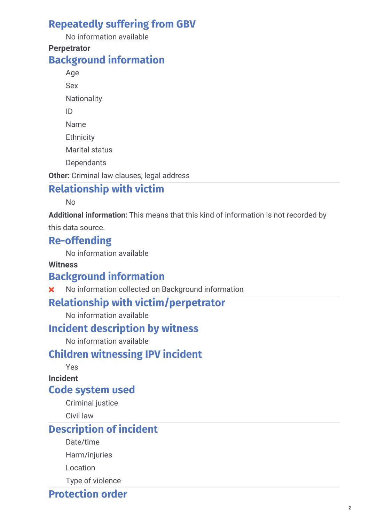## **Repeatedly suffering from GBV**

No information available

#### **Perpetrator Background information**

Age Sex **Nationality** ID Name **Ethnicity** Marital status **Dependants** 

**Other:** Criminal law clauses, legal address

## **Relationship with victim**

No

**Additional information:** This means that this kind of information is not recorded by

this data source.

### **Re-offending**

No information available

#### **Witness**

### **Background information**

**X** No information collected on Background information

#### **Relationship with victim/perpetrator**

No information available

#### **Incident description by witness**

No information available

## **Children witnessing IPV incident**

Yes

**Incident**

#### **Code system used**

Criminal justice

Civil law

## **Description of incident**

Date/time

Harm/injuries

Location

Type of violence

### **Protection order**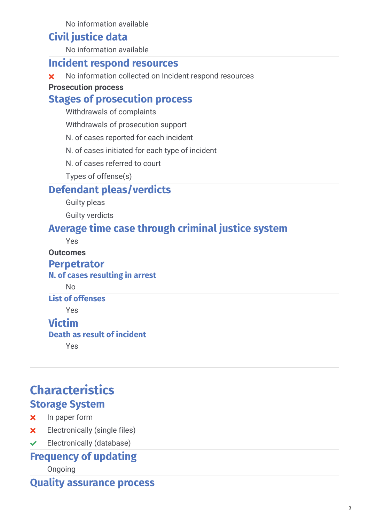No information available

#### **Civil justice data**

No information available

#### **Incident respond resources**

\* No information collected on Incident respond resources

#### **Prosecution process**

#### **Stages of prosecution process**

Withdrawals of complaints

Withdrawals of prosecution support

N. of cases reported for each incident

N. of cases initiated for each type of incident

N. of cases referred to court

Types of offense(s)

#### **Defendant pleas/verdicts**

Guilty pleas

Guilty verdicts

### **Average time case through criminal justice system**

Yes

#### **Outcomes**

#### **Perpetrator**

#### **N. of cases resulting in arrest**

No

#### **List of offenses**

Yes

### **Victim**

#### **Death as result of incident**

Yes

## **Characteristics Storage System**

- **x** In paper form
- **x** Electronically (single files)
- $\blacktriangleright$  Electronically (database)

## **Frequency of updating**

Ongoing

**Quality assurance process**